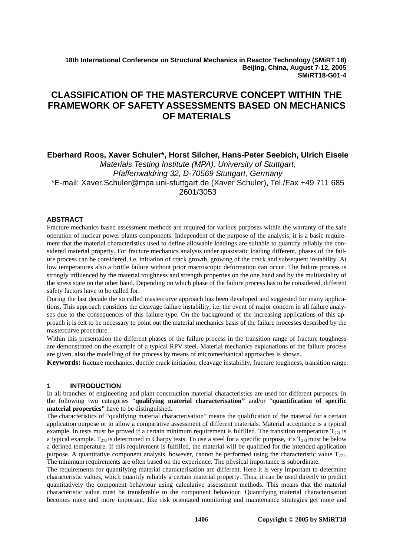**18th International Conference on Structural Mechanics in Reactor Technology (SMiRT 18) Beijing, China, August 7-12, 2005 SMiRT18-G01-4**

# **CLASSIFICATION OF THE MASTERCURVE CONCEPT WITHIN THE FRAMEWORK OF SAFETY ASSESSMENTS BASED ON MECHANICS OF MATERIALS**

# **Eberhard Roos, Xaver Schuler\*, Horst Silcher, Hans-Peter Seebich, Ulrich Eisele**

*Materials Testing Institute (MPA), University of Stuttgart, Pfaffenwaldring 32, D-70569 Stuttgart, Germany*  \*E-mail: Xaver.Schuler@mpa.uni-stuttgart.de (Xaver Schuler), Tel./Fax +49 711 685 2601/3053

## **ABSTRACT**

Fracture mechanics based assessment methods are required for various purposes within the warranty of the safe operation of nuclear power plants components. Independent of the purpose of the analysis, it is a basic requirement that the material characteristics used to define allowable loadings are suitable to quantify reliably the considered material property. For fracture mechanics analysis under quasistatic loading different, phases of the failure process can be considered, i.e. initiation of crack growth, growing of the crack and subsequent instability. At low temperatures also a brittle failure without prior macroscopic deformation can occur. The failure process is strongly influenced by the material toughness and strength properties on the one hand and by the multiaxiality of the stress state on the other hand. Depending on which phase of the failure process has to be considered, different safety factors have to be called for.

During the last decade the so called mastercurve approach has been developed and suggested for many applications. This approach considers the cleavage failure instability, i.e. the event of major concern in all failure analyses due to the consequences of this failure type. On the background of the increasing applications of this approach it is felt to be necessary to point out the material mechanics basis of the failure processes described by the mastercurve procedure.

Within this presentation the different phases of the failure process in the transition range of fracture toughness are demonstrated on the example of a typical RPV steel. Material mechanics explanations of the failure process are given, also the modelling of the process by means of micromechanical approaches is shown.

**Keywords:** fracture mechanics, ductile crack initiation, cleavage instability, fracture toughness, transition range.

### **1 INTRODUCTION**

In all branches of engineering and plant construction material characteristics are used for different purposes. In the following two categories "**qualifying material characterisation"** and/or "**quantification of specific material properties"** have to be distinguished.

The characteristics of "qualifying material characterisation" means the qualification of the material for a certain application purpose or to allow a comparative assessment of different materials. Material acceptance is a typical example. In tests must be proved if a certain minimum requirement is fulfilled. The transition temperature  $T_{271}$  is a typical example. T<sub>271</sub> is determined in Charpy tests. To use a steel for a specific purpose, it's  $T_{27}$  must be below a defined temperature. If this requirement is fulfilled, the material will be qualified for the intended application purpose. A quantitative component analysis, however, cannot be performed using the characteristic value  $T_{27}$ . The minimum requirements are often based on the experience. The physical importance is subordinate.

The requirements for quantifying material characterisation are different. Here it is very important to determine characteristic values, which quantify reliably a certain material property. Thus, it can be used directly to predict quantitatively the component behaviour using calculative assessment methods. This means that the material characteristic value must be transferable to the component behaviour. Quantifying material characterisation becomes more and more important, like risk orientated monitoring and maintenance strategies get more and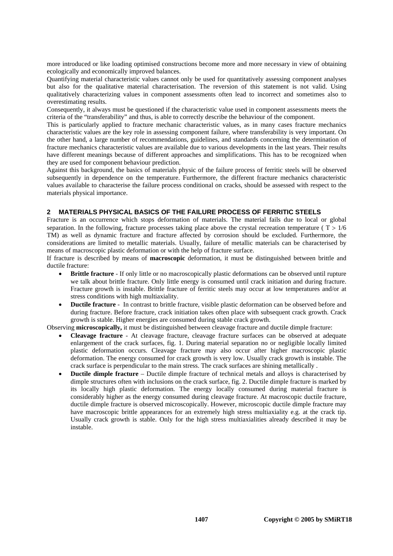more introduced or like loading optimised constructions become more and more necessary in view of obtaining ecologically and economically improved balances.

Quantifying material characteristic values cannot only be used for quantitatively assessing component analyses but also for the qualitative material characterisation. The reversion of this statement is not valid. Using qualitatively characterizing values in component assessments often lead to incorrect and sometimes also to overestimating results.

Consequently, it always must be questioned if the characteristic value used in component assessments meets the criteria of the "transferability" and thus, is able to correctly describe the behaviour of the component.

This is particularly applied to fracture mechanic characteristic values, as in many cases fracture mechanics characteristic values are the key role in assessing component failure, where transferability is very important. On the other hand, a large number of recommendations, guidelines, and standards concerning the determination of fracture mechanics characteristic values are available due to various developments in the last years. Their results have different meanings because of different approaches and simplifications. This has to be recognized when they are used for component behaviour prediction.

Against this background, the basics of materials physic of the failure process of ferritic steels will be observed subsequently in dependence on the temperature. Furthermore, the different fracture mechanics characteristic values available to characterise the failure process conditional on cracks, should be assessed with respect to the materials physical importance.

### **2 MATERIALS PHYSICAL BASICS OF THE FAILURE PROCESS OF FERRITIC STEELS**

Fracture is an occurrence which stops deformation of materials. The material fails due to local or global separation. In the following, fracture processes taking place above the crystal recreation temperature ( $T > 1/6$ ) TM) as well as dynamic fracture and fracture affected by corrosion should be excluded. Furthermore, the considerations are limited to metallic materials. Usually, failure of metallic materials can be characterised by means of macroscopic plastic deformation or with the help of fracture surface.

If fracture is described by means of **macroscopic** deformation, it must be distinguished between brittle and ductile fracture:

- **Brittle fracture** If only little or no macroscopically plastic deformations can be observed until rupture we talk about brittle fracture. Only little energy is consumed until crack initiation and during fracture. Fracture growth is instable. Brittle fracture of ferritic steels may occur at low temperatures and/or at stress conditions with high multiaxiality.
- **Ductile fracture** In contrast to brittle fracture, visible plastic deformation can be observed before and during fracture. Before fracture, crack initiation takes often place with subsequent crack growth. Crack growth is stable. Higher energies are consumed during stable crack growth.

Observing **microscopically,** it must be distinguished between cleavage fracture and ductile dimple fracture:

- **Cleavage fracture** At cleavage fracture, cleavage fracture surfaces can be observed at adequate enlargement of the crack surfaces, fig. 1. During material separation no or negligible locally limited plastic deformation occurs. Cleavage fracture may also occur after higher macroscopic plastic deformation. The energy consumed for crack growth is very low. Usually crack growth is instable. The crack surface is perpendicular to the main stress. The crack surfaces are shining metallically .
- **Ductile dimple fracture** Ductile dimple fracture of technical metals and alloys is characterised by dimple structures often with inclusions on the crack surface, fig. 2. Ductile dimple fracture is marked by its locally high plastic deformation. The energy locally consumed during material fracture is considerably higher as the energy consumed during cleavage fracture. At macroscopic ductile fracture, ductile dimple fracture is observed microscopically. However, microscopic ductile dimple fracture may have macroscopic brittle appearances for an extremely high stress multiaxiality e.g. at the crack tip. Usually crack growth is stable. Only for the high stress multiaxialities already described it may be instable.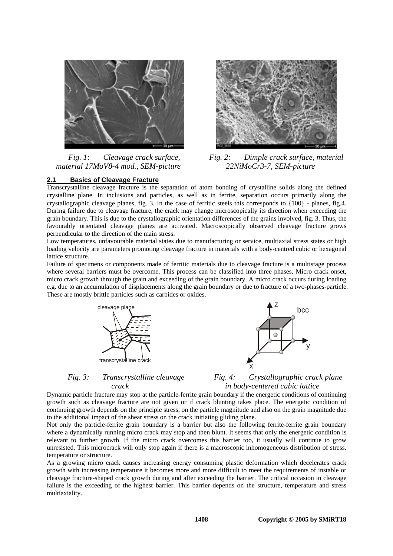

*Fig. 1: Cleavage crack surface, material 17MoV8-4 mod., SEM-picture* 



*Fig. 2: Dimple crack surface, material 22NiMoCr3-7, SEM-picture* 

### **2.1 Basics of Cleavage Fracture**

Transcrystalline cleavage fracture is the separation of atom bonding of crystalline solids along the defined crystalline plane. In inclusions and particles, as well as in ferrite, separation occurs primarily along the crystallographic cleavage planes, fig. 3. In the case of ferritic steels this corresponds to  $\{100\}$  - planes, fig. 4. During failure due to cleavage fracture, the crack may change microscopically its direction when exceeding the grain boundary. This is due to the crystallographic orientation differences of the grains involved, fig. 3. Thus, the favourably orientated cleavage planes are activated. Macroscopically observed cleavage fracture grows perpendicular to the direction of the main stress.

Low temperatures, unfavourable material states due to manufacturing or service, multiaxial stress states or high loading velocity are parameters promoting cleavage fracture in materials with a body-centred cubic or hexagonal lattice structure.

Failure of specimens or components made of ferritic materials due to cleavage fracture is a multistage process where several barriers must be overcome. This process can be classified into three phases. Micro crack onset, micro crack growth through the grain and exceeding of the grain boundary. A micro crack occurs during loading e.g. due to an accumulation of displacements along the grain boundary or due to fracture of a two-phases-particle. These are mostly brittle particles such as carbides or oxides.



*Fig. 3: Transcrystalline cleavage crack* 



*Fig. 4: Crystallographic crack plane in body-centered cubic lattice* 

Dynamic particle fracture may stop at the particle-ferrite grain boundary if the energetic conditions of continuing growth such as cleavage fracture are not given or if crack blunting takes place. The energetic condition of continuing growth depends on the principle stress, on the particle magnitude and also on the grain magnitude due to the additional impact of the shear stress on the crack initiating gliding plane.

Not only the particle-ferrite grain boundary is a barrier but also the following ferrite-ferrite grain boundary where a dynamically running micro crack may stop and then blunt. It seems that only the energetic condition is relevant to further growth. If the micro crack overcomes this barrier too, it usually will continue to grow unresisted. This microcrack will only stop again if there is a macroscopic inhomogeneous distribution of stress, temperature or structure.

As a growing micro crack causes increasing energy consuming plastic deformation which decelerates crack growth with increasing temperature it becomes more and more difficult to meet the requirements of instable or cleavage fracture-shaped crack growth during and after exceeding the barrier. The critical occasion in cleavage failure is the exceeding of the highest barrier. This barrier depends on the structure, temperature and stress multiaxiality.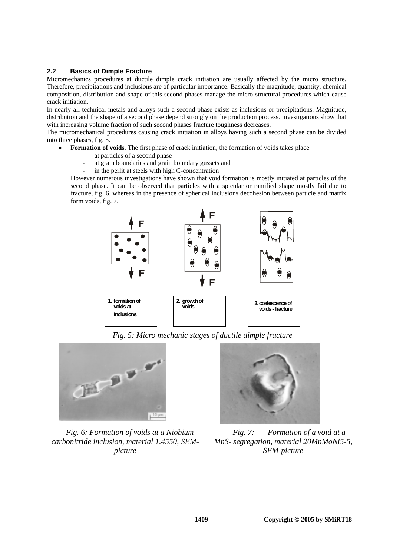# **2.2****Basics of Dimple Fracture**

Micromechanics procedures at ductile dimple crack initiation are usually affected by the micro structure. Therefore, precipitations and inclusions are of particular importance. Basically the magnitude, quantity, chemical composition, distribution and shape of this second phases manage the micro structural procedures which cause crack initiation.

In nearly all technical metals and alloys such a second phase exists as inclusions or precipitations. Magnitude, distribution and the shape of a second phase depend strongly on the production process. Investigations show that with increasing volume fraction of such second phases fracture toughness decreases.

The micromechanical procedures causing crack initiation in alloys having such a second phase can be divided into three phases, fig. 5.

- **Formation of voids**. The first phase of crack initiation, the formation of voids takes place
	- at particles of a second phase
	- at grain boundaries and grain boundary gussets and
	- in the perlit at steels with high C-concentration

However numerous investigations have shown that void formation is mostly initiated at particles of the second phase. It can be observed that particles with a spicular or ramified shape mostly fail due to fracture, fig. 6, whereas in the presence of spherical inclusions decohesion between particle and matrix form voids, fig. 7.



*Fig. 5: Micro mechanic stages of ductile dimple fracture* 



*Fig. 6: Formation of voids at a Niobiumcarbonitride inclusion, material 1.4550, SEMpicture* 



*Fig. 7: Formation of a void at a MnS- segregation, material 20MnMoNi5-5, SEM-picture*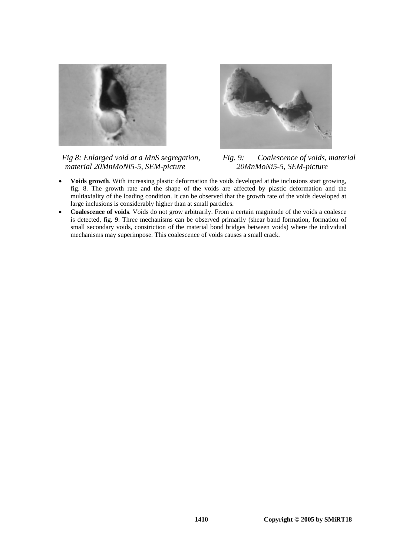

*Fig 8: Enlarged void at a MnS segregation, material 20MnMoNi5-5, SEM-picture* 



*Fig. 9: Coalescence of voids, material 20MnMoNi5-5, SEM-picture* 

- **Voids growth**. With increasing plastic deformation the voids developed at the inclusions start growing, fig. 8. The growth rate and the shape of the voids are affected by plastic deformation and the multiaxiality of the loading condition. It can be observed that the growth rate of the voids developed at large inclusions is considerably higher than at small particles.
- **Coalescence of voids**. Voids do not grow arbitrarily. From a certain magnitude of the voids a coalesce is detected, fig. 9. Three mechanisms can be observed primarily (shear band formation, formation of small secondary voids, constriction of the material bond bridges between voids) where the individual mechanisms may superimpose. This coalescence of voids causes a small crack.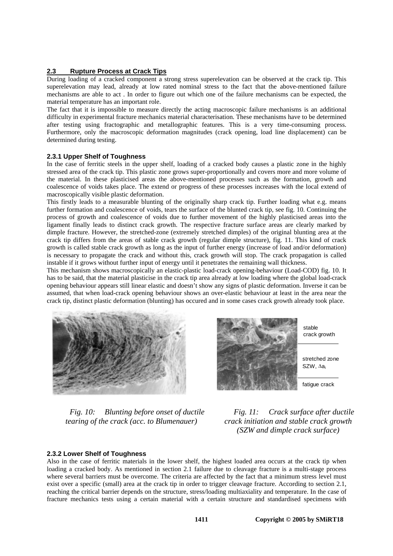### **2.3 Rupture Process at Crack Tips**

During loading of a cracked component a strong stress superelevation can be observed at the crack tip. This superelevation may lead, already at low rated nominal stress to the fact that the above-mentioned failure mechanisms are able to act . In order to figure out which one of the failure mechanisms can be expected, the material temperature has an important role.

The fact that it is impossible to measure directly the acting macroscopic failure mechanisms is an additional difficulty in experimental fracture mechanics material characterisation. These mechanisms have to be determined after testing using fractographic and metallographic features. This is a very time-consuming process. Furthermore, only the macroscopic deformation magnitudes (crack opening, load line displacement) can be determined during testing.

# **2.3.1 Upper Shelf of Toughness**

In the case of ferritic steels in the upper shelf, loading of a cracked body causes a plastic zone in the highly stressed area of the crack tip. This plastic zone grows super-proportionally and covers more and more volume of the material. In these plasticised areas the above-mentioned processes such as the formation, growth and coalescence of voids takes place. The extend or progress of these processes increases with the local extend of macroscopically visible plastic deformation.

This firstly leads to a measurable blunting of the originally sharp crack tip. Further loading what e.g. means further formation and coalescence of voids, tears the surface of the blunted crack tip, see fig. 10. Continuing the process of growth and coalescence of voids due to further movement of the highly plasticised areas into the ligament finally leads to distinct crack growth. The respective fracture surface areas are clearly marked by dimple fracture. However, the stretched-zone (extremely stretched dimples) of the original blunting area at the crack tip differs from the areas of stable crack growth (regular dimple structure), fig. 11. This kind of crack growth is called stable crack growth as long as the input of further energy (increase of load and/or deformation) is necessary to propagate the crack and without this, crack growth will stop. The crack propagation is called instable if it grows without further input of energy until it penetrates the remaining wall thickness.

This mechanism shows macroscopically an elastic-plastic load-crack opening-behaviour (Load-COD) fig. 10. It has to be said, that the material plasticise in the crack tip area already at low loading where the global load-crack opening behaviour appears still linear elastic and doesn't show any signs of plastic deformation. Inverse it can be assumed, that when load-crack opening behaviour shows an over-elastic behaviour at least in the area near the crack tip, distinct plastic deformation (blunting) has occured and in some cases crack growth already took place.



fatique crack stretched zone SZW, ∆ai stable crack growth

*Fig. 10: Blunting before onset of ductile tearing of the crack (acc. to Blumenauer)* 

*Fig. 11: Crack surface after ductile crack initiation and stable crack growth (SZW and dimple crack surface)* 

### **2.3.2 Lower Shelf of Toughness**

Also in the case of ferritic materials in the lower shelf, the highest loaded area occurs at the crack tip when loading a cracked body. As mentioned in section 2.1 failure due to cleavage fracture is a multi-stage process where several barriers must be overcome. The criteria are affected by the fact that a minimum stress level must exist over a specific (small) area at the crack tip in order to trigger cleavage fracture. According to section 2.1, reaching the critical barrier depends on the structure, stress/loading multiaxiality and temperature. In the case of fracture mechanics tests using a certain material with a certain structure and standardised specimens with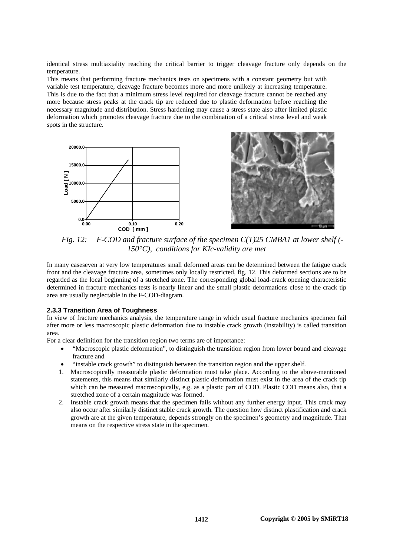identical stress multiaxiality reaching the critical barrier to trigger cleavage fracture only depends on the temperature.

This means that performing fracture mechanics tests on specimens with a constant geometry but with variable test temperature, cleavage fracture becomes more and more unlikely at increasing temperature. This is due to the fact that a minimum stress level required for cleavage fracture cannot be reached any more because stress peaks at the crack tip are reduced due to plastic deformation before reaching the necessary magnitude and distribution. Stress hardening may cause a stress state also after limited plastic deformation which promotes cleavage fracture due to the combination of a critical stress level and weak spots in the structure.





*Fig. 12: F-COD and fracture surface of the specimen C(T)25 CMBA1 at lower shelf (- 150°C), conditions for KIc-validity are met* 

In many caseseven at very low temperatures small deformed areas can be determined between the fatigue crack front and the cleavage fracture area, sometimes only locally restricted, fig. 12. This deformed sections are to be regarded as the local beginning of a stretched zone. The corresponding global load-crack opening characteristic determined in fracture mechanics tests is nearly linear and the small plastic deformations close to the crack tip area are usually neglectable in the F-COD-diagram.

### **2.3.3 Transition Area of Toughness**

In view of fracture mechanics analysis, the temperature range in which usual fracture mechanics specimen fail after more or less macroscopic plastic deformation due to instable crack growth (instability) is called transition area.

For a clear definition for the transition region two terms are of importance:

- "Macroscopic plastic deformation", to distinguish the transition region from lower bound and cleavage fracture and
- "instable crack growth" to distinguish between the transition region and the upper shelf.
- 1. Macroscopically measurable plastic deformation must take place. According to the above-mentioned statements, this means that similarly distinct plastic deformation must exist in the area of the crack tip which can be measured macroscopically, e.g. as a plastic part of COD. Plastic COD means also, that a stretched zone of a certain magnitude was formed.
- 2. Instable crack growth means that the specimen fails without any further energy input. This crack may also occur after similarly distinct stable crack growth. The question how distinct plastification and crack growth are at the given temperature, depends strongly on the specimen's geometry and magnitude. That means on the respective stress state in the specimen.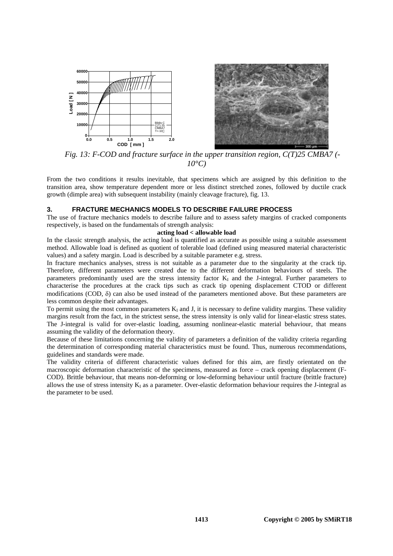

*Fig. 13: F-COD and fracture surface in the upper transition region, C(T)25 CMBA7 (- 10°C)* 

From the two conditions it results inevitable, that specimens which are assigned by this definition to the transition area, show temperature dependent more or less distinct stretched zones, followed by ductile crack growth (dimple area) with subsequent instability (mainly cleavage fracture), fig. 13.

#### **3. FRACTURE MECHANICS MODELS TO DESCRIBE FAILURE PROCESS**

The use of fracture mechanics models to describe failure and to assess safety margins of cracked components respectively, is based on the fundamentals of strength analysis:

### **acting load < allowable load**

In the classic strength analysis, the acting load is quantified as accurate as possible using a suitable assessment method. Allowable load is defined as quotient of tolerable load (defined using measured material characteristic values) and a safety margin. Load is described by a suitable parameter e.g. stress.

In fracture mechanics analyses, stress is not suitable as a parameter due to the singularity at the crack tip. Therefore, different parameters were created due to the different deformation behaviours of steels. The parameters predominantly used are the stress intensity factor  $K_I$  and the J-integral. Further parameters to characterise the procedures at the crack tips such as crack tip opening displacement CTOD or different modifications (COD, δ) can also be used instead of the parameters mentioned above. But these parameters are less common despite their advantages.

To permit using the most common parameters  $K_I$  and J, it is necessary to define validity margins. These validity margins result from the fact, in the strictest sense, the stress intensity is only valid for linear-elastic stress states. The J-integral is valid for over-elastic loading, assuming nonlinear-elastic material behaviour, that means assuming the validity of the deformation theory.

Because of these limitations concerning the validity of parameters a definition of the validity criteria regarding the determination of corresponding material characteristics must be found. Thus, numerous recommendations, guidelines and standards were made.

The validity criteria of different characteristic values defined for this aim, are firstly orientated on the macroscopic deformation characteristic of the specimens, measured as force – crack opening displacement (F-COD). Brittle behaviour, that means non-deforming or low-deforming behaviour until fracture (brittle fracture) allows the use of stress intensity  $K<sub>I</sub>$  as a parameter. Over-elastic deformation behaviour requires the J-integral as the parameter to be used.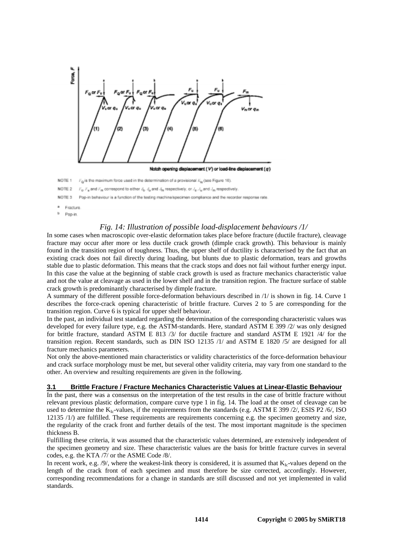

Pop-in

# *Fig. 14: Illustration of possible load-displacement behaviours /1/*

In some cases when macroscopic over-elastic deformation takes place before fracture (ductile fracture), cleavage fracture may occur after more or less ductile crack growth (dimple crack growth). This behaviour is mainly found in the transition region of toughness. Thus, the upper shelf of ductility is characterised by the fact that an existing crack does not fail directly during loading, but blunts due to plastic deformation, tears and growths stable due to plastic deformation. This means that the crack stops and does not fail without further energy input. In this case the value at the beginning of stable crack growth is used as fracture mechanics characteristic value and not the value at cleavage as used in the lower shelf and in the transition region. The fracture surface of stable crack growth is predominantly characterised by dimple fracture.

A summary of the different possible force-deformation behaviours described in /1/ is shown in fig. 14. Curve 1 describes the force-crack opening characteristic of brittle fracture. Curves 2 to 5 are corresponding for the transition region. Curve 6 is typical for upper shelf behaviour.

In the past, an individual test standard regarding the determination of the corresponding characteristic values was developed for every failure type, e.g. the ASTM-standards. Here, standard ASTM E 399 /2/ was only designed for brittle fracture, standard ASTM E 813 /3/ for ductile fracture and standard ASTM E 1921 /4/ for the transition region. Recent standards, such as DIN ISO 12135 /1/ and ASTM E 1820 /5/ are designed for all fracture mechanics parameters.

Not only the above-mentioned main characteristics or validity characteristics of the force-deformation behaviour and crack surface morphology must be met, but several other validity criteria, may vary from one standard to the other. An overview and resulting requirements are given in the following.

#### **3.1 Brittle Fracture / Fracture Mechanics Characteristic Values at Linear-Elastic Behaviour**

In the past, there was a consensus on the interpretation of the test results in the case of brittle fracture without relevant previous plastic deformation, compare curve type 1 in fig. 14. The load at the onset of cleavage can be used to determine the  $K_{1c}$ -values, if the requirements from the standards (e.g. ASTM E 399/2/, ESIS P2/6/, ISO 12135 /1/) are fulfilled. These requirements are requirements concerning e.g. the specimen geometry and size, the regularity of the crack front and further details of the test. The most important magnitude is the specimen thickness B.

Fulfilling these criteria, it was assumed that the characteristic values determined, are extensively independent of the specimen geometry and size. These characteristic values are the basis for brittle fracture curves in several codes, e.g. the KTA /7/ or the ASME Code /8/.

In recent work, e.g. /9/, where the weakest-link theory is considered, it is assumed that  $K_{Ic}$ -values depend on the length of the crack front of each specimen and must therefore be size corrected, accordingly. However, corresponding recommendations for a change in standards are still discussed and not yet implemented in valid standards.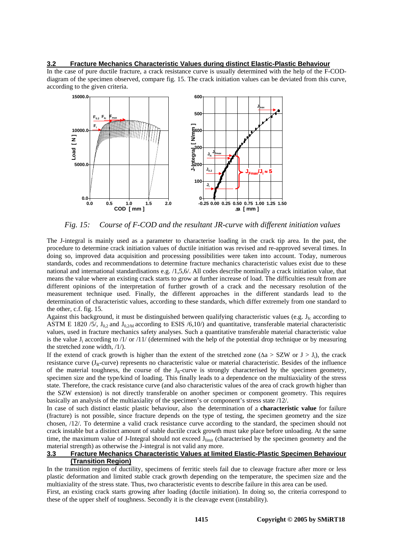### **3.2 Fracture Mechanics Characteristic Values during distinct Elastic-Plastic Behaviour**

In the case of pure ductile fracture, a crack resistance curve is usually determined with the help of the F-CODdiagram of the specimen observed, compare fig. 15. The crack initiation values can be deviated from this curve, according to the given criteria.



*Fig. 15: Course of F-COD and the resultant JR-curve with different initiation values* 

The J-integral is mainly used as a parameter to characterise loading in the crack tip area. In the past, the procedure to determine crack initiation values of ductile initiation was revised and re-approved several times. In doing so, improved data acquisition and processing possibilities were taken into account. Today, numerous standards, codes and recommendations to determine fracture mechanics characteristic values exist due to these national and international standardisations e.g. /1,5,6/. All codes describe nominally a crack initiation value, that means the value where an existing crack starts to grow at further increase of load. The difficulties result from are different opinions of the interpretation of further growth of a crack and the necessary resolution of the measurement technique used. Finally, the different approaches in the different standards lead to the determination of characteristic values, according to these standards, which differ extremely from one standard to the other, c.f. fig. 15.

Against this background, it must be distinguished between qualifying characteristic values (e.g.  $J_{Ic}$  according to ASTM E 1820 /5/,  $J_{0,2}$  and  $J_{0,2/bl}$  according to ESIS /6,10/) and quantitative, transferable material characteristic values, used in fracture mechanics safety analyses. Such a quantitative transferable material characteristic value is the value  $J_i$  according to /1/ or /11/ (determined with the help of the potential drop technique or by measuring the stretched zone width, /1/).

If the extend of crack growth is higher than the extent of the stretched zone ( $\Delta a > SZW$  or  $J > J_i$ ), the crack resistance curve  $(J_R$ -curve) represents no characteristic value or material characteristic. Besides of the influence of the material toughness, the course of the  $J_R$ -curve is strongly characterised by the specimen geometry, specimen size and the type/kind of loading. This finally leads to a dependence on the multiaxiality of the stress state. Therefore, the crack resistance curve (and also characteristic values of the area of crack growth higher than the SZW extension) is not directly transferable on another specimen or component geometry. This requires basically an analysis of the multiaxiality of the specimen's or component's stress state /12/.

In case of such distinct elastic plastic behaviour, also the determination of a **characteristic value** for failure (fracture) is not possible, since fracture depends on the type of testing, the specimen geometry and the size chosen, /12/. To determine a valid crack resistance curve according to the standard, the specimen should not crack instable but a distinct amount of stable ductile crack growth must take place before unloading. At the same time, the maximum value of J-Integral should not exceed  $J_{limit}$  (characterised by the specimen geometry and the material strength) as otherwise the J-integral is not valid any more.

# **3.3 Fracture Mechanics Characteristic Values at limited Elastic-Plastic Specimen Behaviour (Transition Region)**

In the transition region of ductility, specimens of ferritic steels fail due to cleavage fracture after more or less plastic deformation and limited stable crack growth depending on the temperature, the specimen size and the multiaxiality of the stress state. Thus, two characteristic events to describe failure in this area can be used.

First, an existing crack starts growing after loading (ductile initiation). In doing so, the criteria correspond to these of the upper shelf of toughness. Secondly it is the cleavage event (instability).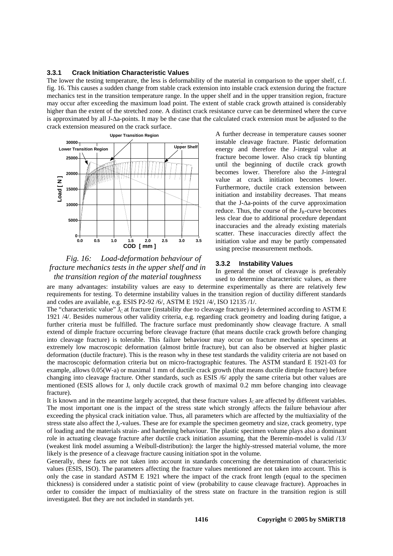#### **3.3.1 Crack Initiation Characteristic Values**

The lower the testing temperature, the less is deformability of the material in comparison to the upper shelf, c.f. fig. 16. This causes a sudden change from stable crack extension into instable crack extension during the fracture mechanics test in the transition temperature range. In the upper shelf and in the upper transition region, fracture may occur after exceeding the maximum load point. The extent of stable crack growth attained is considerably higher than the extent of the stretched zone. A distinct crack resistance curve can be determined where the curve is approximated by all J-∆a-points. It may be the case that the calculated crack extension must be adjusted to the crack extension measured on the crack surface.



*Fig. 16: Load-deformation behaviour of fracture mechanics tests in the upper shelf and in the transition region of the material toughness* 

A further decrease in temperature causes sooner instable cleavage fracture. Plastic deformation energy and therefore the J-integral value at fracture become lower. Also crack tip blunting until the beginning of ductile crack growth becomes lower. Therefore also the J-integral value at crack initiation becomes lower. Furthermore, ductile crack extension between initiation and instability decreases. That means that the J-∆a-points of the curve approximation reduce. Thus, the course of the  $J_R$ -curve becomes less clear due to additional procedure dependant inaccuracies and the already existing materials scatter. These inaccuracies directly affect the initiation value and may be partly compensated using precise measurement methods.

#### **3.3.2 Instability Values**

In general the onset of cleavage is preferably

used to determine characteristic values, as there are many advantages: instability values are easy to determine experimentally as there are relatively few requirements for testing. To determine instability values in the transition region of ductility different standards and codes are available, e.g. ESIS P2-92 /6/, ASTM E 1921 /4/, ISO 12135 /1/.

The "characteristic value"  $J<sub>C</sub>$  at fracture (instability due to cleavage fracture) is determined according to ASTM E 1921 /4/. Besides numerous other validity criteria, e.g. regarding crack geometry and loading during fatigue, a further criteria must be fulfilled. The fracture surface must predominantly show cleavage fracture. A small extend of dimple fracture occurring before cleavage fracture (that means ductile crack growth before changing into cleavage fracture) is tolerable. This failure behaviour may occur on fracture mechanics specimens at extremely low macroscopic deformation (almost brittle fracture), but can also be observed at higher plastic deformation (ductile fracture). This is the reason why in these test standards the validity criteria are not based on the macroscopic deformation criteria but on micro-fractographic features. The ASTM standard E 1921-03 for example, allows 0.05(W-a) or maximal 1 mm of ductile crack growth (that means ductile dimple fracture) before changing into cleavage fracture. Other standards, such as ESIS /6/ apply the same criteria but other values are mentioned (ESIS allows for  $J_c$  only ductile crack growth of maximal 0.2 mm before changing into cleavage fracture).

It is known and in the meantime largely accepted, that these fracture values  $J<sub>C</sub>$  are affected by different variables. The most important one is the impact of the stress state which strongly affects the failure behaviour after exceeding the physical crack initiation value. Thus, all parameters which are affected by the multiaxiality of the stress state also affect the  $J_c$ -values. These are for example the specimen geometry and size, crack geometry, type of loading and the materials strain- and hardening behaviour. The plastic specimen volume plays also a dominant role in actuating cleavage fracture after ductile crack initiation assuming, that the Beremin-model is valid /13/ (weakest link model assuming a Weibull-distribution): the larger the highly-stressed material volume, the more likely is the presence of a cleavage fracture causing initiation spot in the volume.

Generally, these facts are not taken into account in standards concerning the determination of characteristic values (ESIS, ISO). The parameters affecting the fracture values mentioned are not taken into account. This is only the case in standard ASTM E 1921 where the impact of the crack front length (equal to the specimen thickness) is considered under a statistic point of view (probability to cause cleavage fracture). Approaches in order to consider the impact of multiaxiality of the stress state on fracture in the transition region is still investigated. But they are not included in standards yet.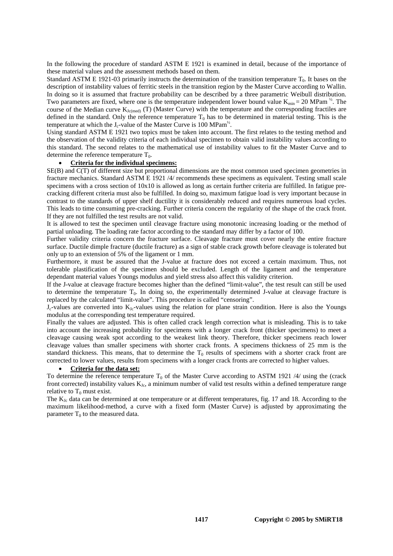In the following the procedure of standard ASTM E 1921 is examined in detail, because of the importance of these material values and the assessment methods based on them.

Standard ASTM E 1921-03 primarily instructs the determination of the transition temperature  $T_0$ . It bases on the description of instability values of ferritic steels in the transition region by the Master Curve according to Wallin. In doing so it is assumed that fracture probability can be described by a three parametric Weibull distribution. Two parameters are fixed, where one is the temperature independent lower bound value  $K_{min} = 20$  MPam  $\frac{1}{2}$ . The course of the Median curve  $K_{Jc(med)}$  (T) (Master Curve) with the temperature and the corresponding fractiles are defined in the standard. Only the reference temperature  $T_0$  has to be determined in material testing. This is the temperature at which the J<sub>c</sub>-value of the Master Curve is 100 MPam<sup>12</sup>.

Using standard ASTM E 1921 two topics must be taken into account. The first relates to the testing method and the observation of the validity criteria of each individual specimen to obtain valid instability values according to this standard. The second relates to the mathematical use of instability values to fit the Master Curve and to determine the reference temperature  $T_0$ .

# • **Criteria for the individual specimens:**

SE(B) and C(T) of different size but proportional dimensions are the most common used specimen geometries in fracture mechanics. Standard ASTM E 1921 /4/ recommends these specimens as equivalent. Testing small scale specimens with a cross section of  $10x10$  is allowed as long as certain further criteria are fulfilled. In fatigue precracking different criteria must also be fulfilled. In doing so, maximum fatigue load is very important because in contrast to the standards of upper shelf ductility it is considerably reduced and requires numerous load cycles. This leads to time consuming pre-cracking. Further criteria concern the regularity of the shape of the crack front. If they are not fulfilled the test results are not valid.

It is allowed to test the specimen until cleavage fracture using monotonic increasing loading or the method of partial unloading. The loading rate factor according to the standard may differ by a factor of 100.

Further validity criteria concern the fracture surface. Cleavage fracture must cover nearly the entire fracture surface. Ductile dimple fracture (ductile fracture) as a sign of stable crack growth before cleavage is tolerated but only up to an extension of 5% of the ligament or 1 mm.

Furthermore, it must be assured that the J-value at fracture does not exceed a certain maximum. Thus, not tolerable plastification of the specimen should be excluded. Length of the ligament and the temperature dependant material values Youngs modulus and yield stress also affect this validity criterion.

If the J-value at cleavage fracture becomes higher than the defined "limit-value", the test result can still be used to determine the temperature  $T_0$ . In doing so, the experimentally determined J-value at cleavage fracture is replaced by the calculated "limit-value". This procedure is called "censoring".

 $J_c$ -values are converted into  $K_{J_c}$ -values using the relation for plane strain condition. Here is also the Youngs modulus at the corresponding test temperature required.

Finally the values are adjusted. This is often called crack length correction what is misleading. This is to take into account the increasing probability for specimens with a longer crack front (thicker specimens) to meet a cleavage causing weak spot according to the weakest link theory. Therefore, thicker specimens reach lower cleavage values than smaller specimens with shorter crack fronts. A specimens thickness of 25 mm is the standard thickness. This means, that to determine the  $T_0$  results of specimens with a shorter crack front are corrected to lower values, results from specimens with a longer crack fronts are corrected to higher values.

#### • **Criteria for the data set:**

To determine the reference temperature  $T_0$  of the Master Curve according to ASTM 1921 /4/ using the (crack front corrected) instability values  $K_{Ic}$ , a minimum number of valid test results within a defined temperature range relative to  $T_0$  must exist.

The K<sub>Jc</sub> data can be determined at one temperature or at different temperatures, fig. 17 and 18. According to the maximum likelihood-method, a curve with a fixed form (Master Curve) is adjusted by approximating the parameter  $T_0$  to the measured data.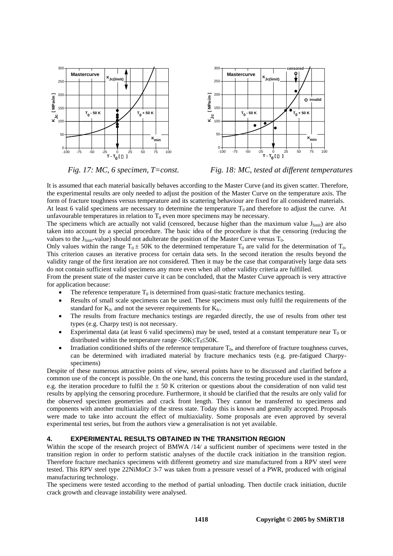



*Fig. 17: MC, 6 specimen, T=const. Fig. 18: MC, tested at different temperatures*

It is assumed that each material basically behaves according to the Master Curve (and its given scatter. Therefore, the experimental results are only needed to adjust the position of the Master Curve on the temperature axis. The form of fracture toughness versus temperature and its scattering behaviour are fixed for all considered materials. At least 6 valid specimens are necessary to determine the temperature  $T_0$  and therefore to adjust the curve. At unfavourable temperatures in relation to  $T_0$  even more specimens may be necessary.

The specimens which are actually not valid (censored, because higher than the maximum value  $J_{limit}$ ) are also taken into account by a special procedure. The basic idea of the procedure is that the censoring (reducing the values to the  $J_{limit}$ -value) should not adulterate the position of the Master Curve versus  $T_0$ .

Only values within the range  $T_0 \pm 50K$  to the determined temperature  $T_0$  are valid for the determination of  $T_0$ . This criterion causes an iterative process for certain data sets. In the second iteration the results beyond the validity range of the first iteration are not considered. Then it may be the case that comparatively large data sets do not contain sufficient valid specimens any more even when all other validity criteria are fulfilled.

From the present state of the master curve it can be concluded, that the Master Curve approach is very attractive for application because:

- The reference temperature  $T_0$  is determined from quasi-static fracture mechanics testing.
- Results of small scale specimens can be used. These specimens must only fulfil the requirements of the standard for  $K_{Jc}$  and not the severer requirements for  $K_{Ic}$ .
- The results from fracture mechanics testings are regarded directly, the use of results from other test types (e.g. Charpy test) is not necessary.
- Experimental data (at least 6 valid specimens) may be used, tested at a constant temperature near  $T_0$  or distributed within the temperature range -50K≤T<sub>0</sub>≤50K.
- Irradiation conditioned shifts of the reference temperature  $T_0$ , and therefore of fracture toughness curves, can be determined with irradiated material by fracture mechanics tests (e.g. pre-fatigued Charpyspecimens)

Despite of these numerous attractive points of view, several points have to be discussed and clarified before a common use of the concept is possible. On the one hand, this concerns the testing procedure used in the standard, e.g. the iteration procedure to fulfil the  $\pm$  50 K criterion or questions about the consideration of non valid test results by applying the censoring procedure. Furthermore, it should be clarified that the results are only valid for the observed specimen geometries and crack front length. They cannot be transferred to specimens and components with another multiaxiality of the stress state. Today this is known and generally accepted. Proposals were made to take into account the effect of multiaxiality. Some proposals are even approved by several experimental test series, but from the authors view a generalisation is not yet available.

# **4. EXPERIMENTAL RESULTS OBTAINED IN THE TRANSITION REGION**

Within the scope of the research project of BMWA /14/ a sufficient number of specimens were tested in the transition region in order to perform statistic analyses of the ductile crack initiation in the transition region. Therefore fracture mechanics specimens with different geometry and size manufactured from a RPV steel were tested. This RPV steel type 22NiMoCr 3-7 was taken from a pressure vessel of a PWR, produced with original manufacturing technology.

The specimens were tested according to the method of partial unloading. Then ductile crack initiation, ductile crack growth and cleavage instability were analysed.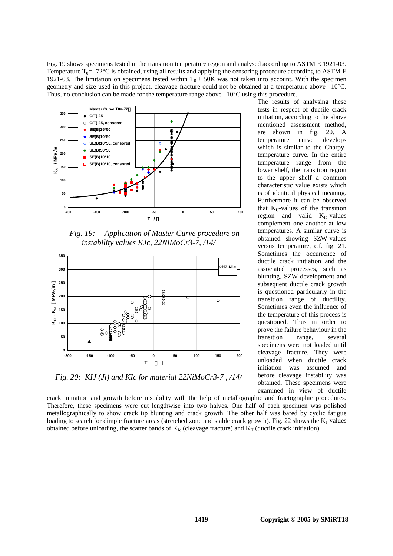Fig. 19 shows specimens tested in the transition temperature region and analysed according to ASTM E 1921-03. Temperature  $T_0$  = -72°C is obtained, using all results and applying the censoring procedure according to ASTM E 1921-03. The limitation on specimens tested within  $T_0 \pm 50$ K was not taken into account. With the specimen geometry and size used in this project, cleavage fracture could not be obtained at a temperature above –10°C. Thus, no conclusion can be made for the temperature range above –10°C using this procedure.



*Fig. 19: Application of Master Curve procedure on instability values KJc, 22NiMoCr3-7, /14/* 



*Fig. 20: KIJ (Ji) and KIc for material 22NiMoCr3-7 , /14/* 

The results of analysing these tests in respect of ductile crack initiation, according to the above mentioned assessment method, are shown in fig. 20. A temperature curve develops which is similar to the Charpytemperature curve. In the entire temperature range from the lower shelf, the transition region to the upper shelf a common characteristic value exists which is of identical physical meaning. Furthermore it can be observed that  $K<sub>U</sub>$ -values of the transition region and valid  $K_{Ic}$ -values complement one another at low temperatures. A similar curve is obtained showing SZW-values versus temperature, c.f. fig. 21. Sometimes the occurrence of ductile crack initiation and the associated processes, such as blunting, SZW-development and subsequent ductile crack growth is questioned particularly in the transition range of ductility. Sometimes even the influence of the temperature of this process is questioned. Thus in order to prove the failure behaviour in the transition range, several specimens were not loaded until cleavage fracture. They were unloaded when ductile crack initiation was assumed and before cleavage instability was obtained. These specimens were examined in view of ductile

crack initiation and growth before instability with the help of metallographic and fractographic procedures. Therefore, these specimens were cut lengthwise into two halves. One half of each specimen was polished metallographically to show crack tip blunting and crack growth. The other half was bared by cyclic fatigue loading to search for dimple fracture areas (stretched zone and stable crack growth). Fig. 22 shows the K<sub>J</sub>-values obtained before unloading, the scatter bands of  $K_{Jc}$  (cleavage fracture) and  $K_{IJ}$  (ductile crack initiation).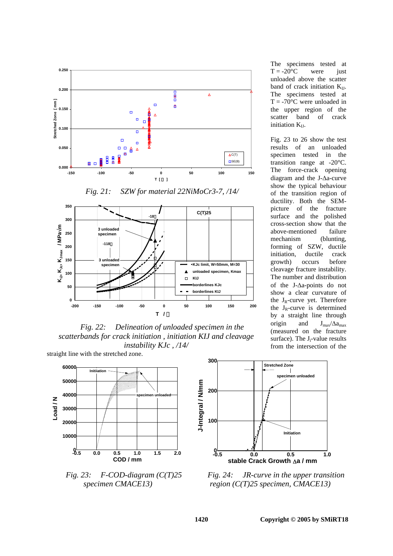



straight line with the stretched zone. *Fig. 22: Delineation of unloaded specimen in the scatterbands for crack initiation , initiation KIJ and cleavage instability KJc , /14/* 



*Fig. 23: F-COD-diagram (C(T)25 specimen CMACE13)* 



*Fig. 24: JR-curve in the upper transition region (C(T)25 specimen, CMACE13)* 

The specimens tested at  $T = -20$ °C were just unloaded above the scatter band of crack initiation  $K_{II}$ . The specimens tested at  $T = -70^{\circ}$ C were unloaded in the upper region of the scatter band of crack initiation  $K_{II}$ .

Fig. 23 to 26 show the test results of an unloaded specimen tested in the transition range at -20°C. The force-crack opening diagram and the J-∆a-curve show the typical behaviour of the transition region of ductility. Both the SEMpicture of the fracture surface and the polished cross-section show that the above-mentioned failure mechanism (blunting, forming of SZW, ductile initiation, ductile crack growth) occurs before cleavage fracture instability. The number and distribution of the J-∆a-points do not show a clear curvature of the  $J_R$ -curve yet. Therefore the  $J_R$ -curve is determined by a straight line through origin and  $J_{max}/\Delta a_{max}$ (measured on the fracture surface). The J<sub>i</sub>-value results from the intersection of the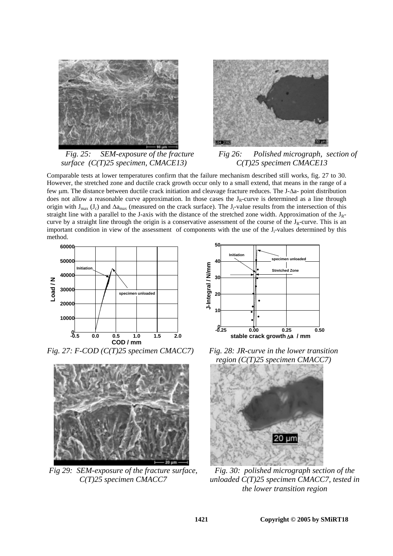



*Fig. 25: SEM-exposure of the fracture surface (C(T)25 specimen, CMACE13)* 

*Fig 26: Polished micrograph, section of C(T)25 specimen CMACE13* 

Comparable tests at lower temperatures confirm that the failure mechanism described still works, fig. 27 to 30. However, the stretched zone and ductile crack growth occur only to a small extend, that means in the range of a few µm. The distance between ductile crack initiation and cleavage fracture reduces. The J-∆a- point distribution does not allow a reasonable curve approximation. In those cases the  $J_R$ -curve is determined as a line through origin with  $J_{max}$  (J<sub>c</sub>) and  $\Delta a_{max}$  (measured on the crack surface). The J<sub>i</sub>-value results from the intersection of this straight line with a parallel to the J-axis with the distance of the stretched zone width. Approximation of the  $J_R$ curve by a straight line through the origin is a conservative assessment of the course of the  $J_R$ -curve. This is an important condition in view of the assessment of components with the use of the  $J_i$ -values determined by this method.



*Fig. 27: F-COD (C(T)25 specimen CMACC7) Fig. 28: JR-curve in the lower transition* 



*Fig 29: SEM-exposure of the fracture surface, C(T)25 specimen CMACC7* 



*region (C(T)25 specimen CMACC7)* 



*Fig. 30: polished micrograph section of the unloaded C(T)25 specimen CMACC7, tested in the lower transition region*